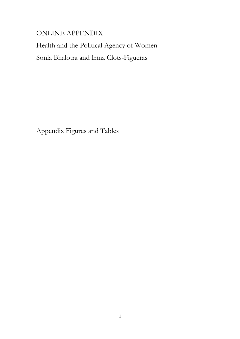# ONLINE APPENDIX

Health and the Political Agency of Women Sonia Bhalotra and Irma Clots-Figueras

Appendix Figures and Tables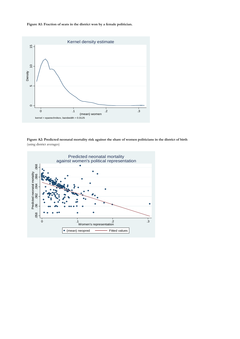**Figure A1: Fraction of seats in the district won by a female politician.**



**Figure A2: Predicted neonatal mortality risk against the share of women politicians in the district of birth** (using district averages)

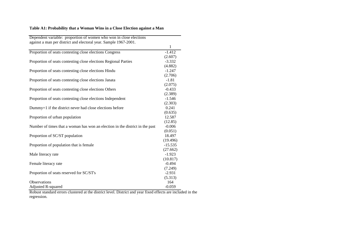# **Table A1: Probability that a Woman Wins in a Close Election against a Man**

| Dependent variable: proportion of women who won in close elections           |                  |
|------------------------------------------------------------------------------|------------------|
| against a man per district and electoral year. Sample 1967-2001.             | 1                |
| Proportion of seats contesting close elections Congress                      | $-1.412$         |
|                                                                              | (2.607)          |
| Proportion of seats contesting close elections Regional Parties              | $-3.332$         |
|                                                                              | (4.882)          |
| Proportion of seats contesting close elections Hindu                         | $-1.247$         |
|                                                                              | (2.706)          |
| Proportion of seats contesting close elections Janata                        | $-1.81$          |
|                                                                              | (2.075)          |
| Proportion of seats contesting close elections Others                        | $-0.433$         |
|                                                                              | (2.389)          |
| Proportion of seats contesting close elections Independent                   | $-1.546$         |
| Dummy=1 if the district never had close elections before                     | (2.303)<br>0.241 |
|                                                                              | (0.635)          |
| Proportion of urban population                                               | 12.587           |
|                                                                              | (12.85)          |
| Number of times that a woman has won an election in the district in the past | $-0.006$         |
|                                                                              | (0.051)          |
| Proportion of SC/ST population                                               | 18.497           |
|                                                                              | (19.496)         |
| Proportion of population that is female                                      | $-15.535$        |
|                                                                              | (27.662)         |
| Male literacy rate                                                           | $-1.923$         |
|                                                                              | (10.817)         |
| Female literacy rate                                                         | $-0.494$         |
|                                                                              | (7.249)          |
| Proportion of seats reserved for SC/ST's                                     | $-2.931$         |
|                                                                              | (5.313)          |
| Observations                                                                 | 164              |
| Adjusted R-squared                                                           | $-0.059$         |

Robust standard errors clustered at the district level. District and year fixed effects are included in theregression.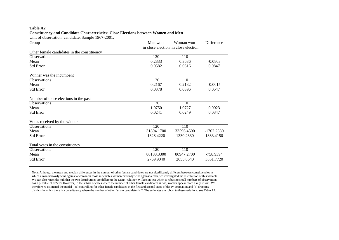| Unit of observation: candidate. Sample 1967-2001. |            |                                                  |              |
|---------------------------------------------------|------------|--------------------------------------------------|--------------|
| Group                                             | Man won    | Woman won<br>in close election in close election | Difference   |
| Other female candidates in the constituency       |            |                                                  |              |
| <b>Observations</b>                               | 120        | 110                                              |              |
| Mean                                              | 0.2833     | 0.3636                                           | $-0.0803$    |
| <b>Std Error</b>                                  | 0.0582     | 0.0616                                           | 0.0847       |
| Winner was the incumbent                          |            |                                                  |              |
| <b>Observations</b>                               | 120        | 110                                              |              |
| Mean                                              | 0.2167     | 0.2182                                           | $-0.0015$    |
| <b>Std Error</b>                                  | 0.0378     | 0.0396                                           | 0.0547       |
| Number of close elections in the past             |            |                                                  |              |
| <b>Observations</b>                               | 120        | 110                                              |              |
| Mean                                              | 1.0750     | 1.0727                                           | 0.0023       |
| <b>Std Error</b>                                  | 0.0241     | 0.0249                                           | 0.0347       |
| Votes received by the winner                      |            |                                                  |              |
| <b>Observations</b>                               | 120        | 110                                              |              |
| Mean                                              | 31894.1700 | 33596.4500                                       | $-1702.2880$ |
| <b>Std Error</b>                                  | 1328.4220  | 1330.2330                                        | 1883.4150    |
| Total votes in the constituency                   |            |                                                  |              |
| <b>Observations</b>                               | 120        | 110                                              |              |
| Mean                                              | 80188.3300 | 80947.2700                                       | -758.9394    |
| Std Error                                         | 2769.9040  | 2655.8640                                        | 3851.7720    |

# **Constituency and Candidate Characteristics: Close Elections between Women and Men**

**Table A2**

Note: Although the mean and median differences in the number of other female candidates are not significantly different between constituencies in which a man narrowly wins against a woman vs those in which a woman narrowly wins against a man, we investigated the distribution of this variable. We can also reject the null that the two distributions are different: the Mann-Whitney-Wilkinson test which is robust to small numbers of observations has a p- value of 0.2718. However, in the subset of cases where the number of other female candidates is two, women appear more likely to win. We therefore re-estimated the model (a) controlling for other female candidates in the first and second stage of the IV estimation and (b) dropping districts in which there is a constituency where the number of other female candidates is 2. The estimates are robust to these variations, see Table A7.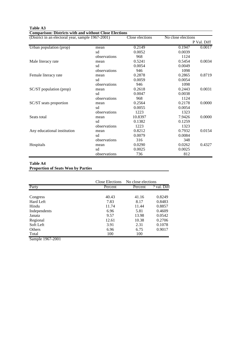| <b>Comparison: Districts with and without Close Elections</b> |              |                 |                    |             |
|---------------------------------------------------------------|--------------|-----------------|--------------------|-------------|
| (District in an electoral year, sample 1967-2001)             |              | Close elections | No close elections |             |
|                                                               |              |                 |                    | P Val. Diff |
| Urban population (prop)                                       | mean         | 0.2149          | 0.1947             | 0.0017      |
|                                                               | sd           | 0.0052          | 0.0039             |             |
|                                                               | observations | 968             | 1124               |             |
| Male literacy rate                                            | mean         | 0.5241          | 0.5454             | 0.0034      |
|                                                               | sd           | 0.0054          | 0.0049             |             |
|                                                               | observations | 946             | 1098               |             |
| Female literacy rate                                          | mean         | 0.2878          | 0.2865             | 0.8719      |
|                                                               | sd           | 0.0059          | 0.0054             |             |
|                                                               | observations | 946             | 1098               |             |
| SC/ST population (prop)                                       | mean         | 0.2618          | 0.2443             | 0.0031      |
|                                                               | sd           | 0.0047          | 0.0038             |             |
|                                                               | observations | 968             | 1124               |             |
| SC/ST seats proportion                                        | mean         | 0.2564          | 0.2178             | 0.0000      |
|                                                               | sd           | 0.0055          | 0.0054             |             |
|                                                               | observations | 1223            | 1323               |             |
| Seats total                                                   | mean         | 10.8397         | 7.9426             | 0.0000      |
|                                                               | sd           | 0.1382          | 0.1259             |             |
|                                                               | observations | 1223            | 1323               |             |
| Any educational institution                                   | mean         | 0.8212          | 0.7932             | 0.0154      |
|                                                               | sd           | 0.0079          | 0.0084             |             |
|                                                               | observations | 316             | 348                |             |
| Hospitals                                                     | mean         | 0.0290          | 0.0262             | 0.4327      |
|                                                               | sd           | 0.0025          | 0.0025             |             |
|                                                               | observations | 736             | 812                |             |

# **Table A3**

#### **Table A4 Proportion of Seats Won by Parties**

| <b>Proportion of Seats Won by Parties</b> |  |  |
|-------------------------------------------|--|--|
|                                           |  |  |

|                  | Close Elections | No close elections |           |
|------------------|-----------------|--------------------|-----------|
| Party            | Percent         | Percent            | val. Diff |
|                  |                 |                    |           |
| Congress         | 40.43           | 41.16              | 0.8249    |
| Hard Left        | 7.83            | 8.17               | 0.8483    |
| Hindu            | 11.74           | 11.44              | 0.8857    |
| Independents     | 6.96            | 5.81               | 0.4609    |
| Janata           | 9.57            | 13.98              | 0.0542    |
| Regional         | 12.61           | 10.38              | 0.2706    |
| Soft Left        | 3.91            | 2.31               | 0.1078    |
| <b>Others</b>    | 6.96            | 6.75               | 0.9017    |
| Total            | 100             | 100                |           |
| Sample 1967-2001 |                 |                    |           |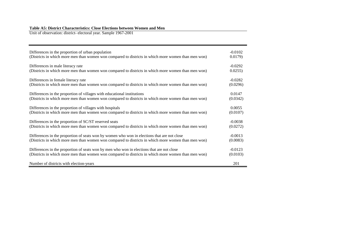# **Table A5: District Characteristics: Close Elections between Women and Men**  Unit of observation: district- electoral year. Sample 1967-2001

| Differences in the proportion of urban population                                                   | $-0.0102$ |
|-----------------------------------------------------------------------------------------------------|-----------|
| (Districts in which more men than women won compared to districts in which more women than men won) | 0.0179    |
| Differences in male literacy rate                                                                   | $-0.0292$ |
| (Districts in which more men than women won compared to districts in which more women than men won) | 0.0255    |
| Differences in female literacy rate                                                                 | $-0.0282$ |
| (Districts in which more men than women won compared to districts in which more women than men won) | (0.0296)  |
| Differences in the proportion of villages with educational institutions                             | 0.0147    |
| (Districts in which more men than women won compared to districts in which more women than men won) | (0.0342)  |
| Differences in the proportion of villages with hospitals                                            | 0.0055    |
| (Districts in which more men than women won compared to districts in which more women than men won) | (0.0107)  |
| Differences in the proportion of SC/ST reserved seats                                               | $-0.0038$ |
| (Districts in which more men than women won compared to districts in which more women than men won) | (0.0272)  |
| Differences in the proportion of seats won by women who won in elections that are not close         | $-0.0013$ |
| (Districts in which more men than women won compared to districts in which more women than men won) | (0.0083)  |
| Differences in the proportion of seats won by men who won in elections that are not close           | $-0.0123$ |
| (Districts in which more men than women won compared to districts in which more women than men won) | (0.0103)  |
| Number of districts with election-years                                                             | 201       |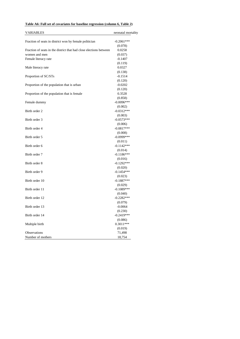### **Table A6: Full set of covariates for baseline regression (column 6, Table 2)**

| VARIABLES                                                          | neonatal mortality |
|--------------------------------------------------------------------|--------------------|
|                                                                    |                    |
| Fraction of seats in district won by female politician             | $-0.2061***$       |
|                                                                    | (0.078)            |
| Fraction of seats in the district that had close elections between | 0.0258             |
| women and men                                                      | (0.037)            |
| Female literacy rate                                               | $-0.1407$          |
|                                                                    | (0.119)            |
| Male literacy rate                                                 | 0.0327             |
|                                                                    | (0.138)            |
| Proportion of SC/STs                                               | $-0.1514$          |
|                                                                    | (0.120)            |
| Proportion of the population that is urban                         | $-0.0202$          |
|                                                                    | (0.120)            |
| Proportion of the population that is female                        | 0.3528             |
|                                                                    | (0.858)            |
| Female dummy                                                       | $-0.0096***$       |
|                                                                    | (0.002)            |
| Birth order 2                                                      | $-0.0312***$       |
|                                                                    | (0.003)            |
| Birth order 3                                                      | $-0.0573***$       |
|                                                                    | (0.006)            |
| Birth order 4                                                      | $-0.0817***$       |
|                                                                    | (0.008)            |
| Birth order 5                                                      | $-0.0999***$       |
|                                                                    | (0.011)            |
| Birth order 6                                                      | $-0.1142***$       |
|                                                                    | (0.014)            |
| Birth order 7                                                      | $-0.1186***$       |
|                                                                    | (0.016)            |
| Birth order 8                                                      | $-0.1292***$       |
|                                                                    | (0.020)            |
| Birth order 9                                                      | $-0.1454***$       |
|                                                                    | (0.023)            |
| Birth order 10                                                     | $-0.1887***$       |
|                                                                    | (0.029)            |
| Birth order 11                                                     | $-0.1089***$       |
|                                                                    | (0.040)            |
| Birth order 12                                                     | $-0.2282***$       |
|                                                                    | (0.079)            |
| Birth order 13                                                     | $-0.0064$          |
|                                                                    | (0.230)            |
| Birth order 14                                                     | $-0.2419***$       |
|                                                                    | (0.086)            |
| Multiple birth                                                     | $0.3011***$        |
|                                                                    | (0.019)            |
| Observations                                                       | 71,498             |
| Number of mothers                                                  | 18,754             |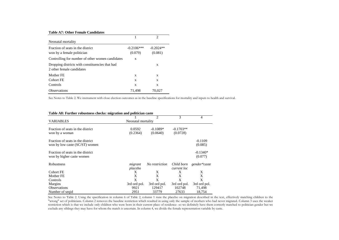#### **Table A7: Other Female Candidates**

| Neonatal mortality                                                           |                         |                        |
|------------------------------------------------------------------------------|-------------------------|------------------------|
| Fraction of seats in the district<br>won by a female politician              | $-0.2106***$<br>(0.079) | $-0.2024**$<br>(0.081) |
| Controlling for number of other women candidates                             | X                       |                        |
| Dropping districts with constituencies that had<br>2 other female candidates |                         | X                      |
| Mother FE                                                                    | X                       | X                      |
| Cohort FE                                                                    | X                       | X                      |
| Controls                                                                     | X                       | X                      |
| <b>Observations</b>                                                          | 71.498                  | 70.027                 |

See Notes to Table 2. We instrument with close election outcomes as in the baseline specifications for mortality and inputs to health and survival.

| Table A8: Further robustness checks: migration and politician caste |                    |                             |              |              |  |
|---------------------------------------------------------------------|--------------------|-----------------------------|--------------|--------------|--|
|                                                                     |                    | $\mathcal{D}_{\mathcal{L}}$ | 3            | 4            |  |
| <b>VARIABLES</b>                                                    | Neonatal mortality |                             |              |              |  |
| Fraction of seats in the district                                   | 0.0592             | $-0.1089*$                  | $-0.1703**$  |              |  |
| won by a woman                                                      | (0.2364)           | (0.0640)                    | (0.0728)     |              |  |
| Fraction of seats in the district                                   |                    |                             |              | $-0.1109$    |  |
| won by low caste (SC/ST) women                                      |                    |                             |              | (0.085)      |  |
| Fraction of seats in the district                                   |                    |                             |              | $-0.1340*$   |  |
| won by higher caste women                                           |                    |                             |              | (0.077)      |  |
| Robustness                                                          | migrant            | No restriction              | Child born   | gender*caste |  |
|                                                                     | placebo            |                             | current loc  |              |  |
| Cohort FE                                                           | X                  | X                           | X            | X            |  |
| Mother FE                                                           | X                  | X                           | X            | X            |  |
| Controls                                                            | X                  | X                           | X            | X            |  |
| Margins                                                             | 3rd ord pol.       | 3rd ord pol.                | 3rd ord pol. | 3rd ord pol. |  |
| <b>Observations</b>                                                 | 9921               | 129417                      | 102748       | 71,498       |  |
| Number of segid                                                     | 2951               | 33779                       | 27633        | 18,754       |  |

See Notes to Table 2. Using the specification in column 6 of Table 2, column 1 runs the placebo on migration described in the text, effectively matching children to the "wrong" set of politicians. Column <sup>2</sup> removes the baseline restriction which resulted in using only the sample of mothers who had never migrated. Column <sup>3</sup> uses the weaker restriction which is that we include only children who were born in their current <sup>p</sup>lace of residence- so we definitely have them correctly matched to politician gender but we exclude any siblings they may have for whom the match is uncertain. In column 4, we divide the female representation variable by caste.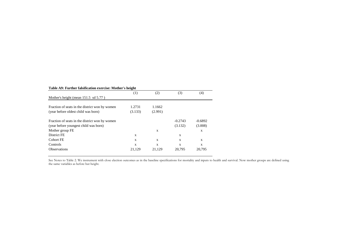| Table A9: Further falsification exercise: Mother's height |         |              |           |           |  |  |
|-----------------------------------------------------------|---------|--------------|-----------|-----------|--|--|
|                                                           | (1)     | (2)          | (3)       | (4)       |  |  |
| Mother's height (mean 151.5 sd 5.77)                      |         |              |           |           |  |  |
| Fraction of seats in the district won by women            | 1.2731  | 1.1662       |           |           |  |  |
| (year before oldest child was born)                       | (3.133) | (2.991)      |           |           |  |  |
| Fraction of seats in the district won by women            |         |              | $-0.2743$ | $-0.6892$ |  |  |
| (year before youngest child was born)                     |         |              | (3.132)   | (3.008)   |  |  |
| Mother group FE                                           |         | X            |           | X         |  |  |
| District FE                                               | X       |              | X         |           |  |  |
| Cohort FE                                                 | X       | X            | X         | X         |  |  |
| Controls                                                  | X       | $\mathbf{x}$ | X         | X         |  |  |
| <b>Observations</b>                                       | 21,129  | 21,129       | 20,795    | 20,795    |  |  |

See Notes to Table 2. We instrument with close election outcomes as in the baseline specifications for mortality and inputs to health and survival. Now mother groups are defined using the same variables as before but height.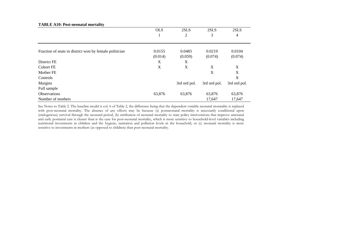|                                                        | <b>OLS</b> | 2SLS           | 2SLS         | 2SLS         |
|--------------------------------------------------------|------------|----------------|--------------|--------------|
|                                                        | 1          | $\mathfrak{2}$ | 3            | 4            |
|                                                        |            |                |              |              |
| Fraction of seats in district won by female politician | 0.0155     | 0.0483         | 0.0219       | 0.0104       |
|                                                        | (0.014)    | (0.059)        | (0.074)      | (0.074)      |
| District FE                                            | X          | X              |              |              |
| Cohort FE                                              | X          | X              | X            | X            |
| Mother FE                                              |            |                | X            | X            |
| Controls                                               |            |                |              | X            |
| Margins                                                |            | 3rd ord pol.   | 3rd ord pol. | 3rd ord pol. |
| Full sample                                            |            |                |              |              |
| Observations                                           | 63,876     | 63,876         | 63,876       | 63,876       |
| Number of mothers                                      |            |                | 17,647       | 17,647       |

**TABLE A10: Post-neonatal mortality**

See Notes to Table 2. The baseline model is col. <sup>6</sup> of Table 2, the difference being that the dependent variable neonatal moratality is replaced with post-neonatal mortality. The absence of any effects may be because (a) postneonatal mortality is necessarily conditional upon (endogenous) survival through the neonatal period, (b) attribution of neonatal mortality to state policy interventions that improve antenatal and early postnata<sup>l</sup> care is clearer than is the case for post-neonata<sup>l</sup> mortality, which is more sensitive to household-level variables including nutritional investments in children and the hygiene, sanitation and pollution levels in the household, or (c) neonatal mortality is more sensitive to investments in mothers (as oppose<sup>d</sup> to children) than post-neonata<sup>l</sup> mortality.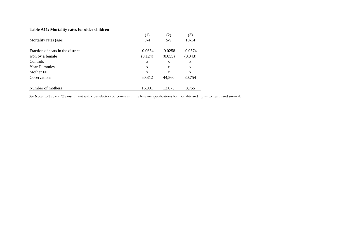# **Table A11: Mortality rates for older children**

|                                   | (1)          | (2)       | (3)       |
|-----------------------------------|--------------|-----------|-----------|
| Mortality rates (age)             | $0 - 4$      | $5-9$     | $10-14$   |
|                                   |              |           |           |
| Fraction of seats in the district | $-0.0654$    | $-0.0258$ | $-0.0574$ |
| won by a female                   | (0.124)      | (0.055)   | (0.043)   |
| Controls                          | X            | X         | X         |
| <b>Year Dummies</b>               | X            | X         | X         |
| Mother FE                         | $\mathbf{x}$ | X         | X         |
| <b>Observations</b>               | 60,812       | 44,860    | 30,754    |
|                                   |              |           |           |
| Number of mothers                 | 16,001       | 12,075    | 8,755     |

See Notes to Table 2. We instrument with close election outcomes as in the baseline specifications for mortality and inputs to health and survival.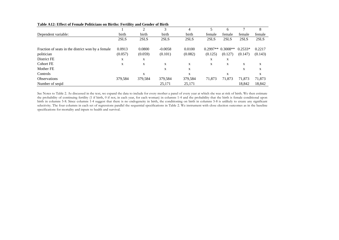|                                                    |         | 2       | 3         |         |            | <sub>6</sub> |             | 8           |
|----------------------------------------------------|---------|---------|-----------|---------|------------|--------------|-------------|-------------|
| Dependent variable:                                | birth   | birth   | birth     | birth   | female     | female       | female      | female      |
|                                                    | 2SLS    | 2SLS    | 2SLS      | 2SLS    | 2SLS       | 2SLS         | 2SLS        | 2SLS        |
| Fraction of seats in the district won by a female. | 0.0913  | 0.0800  | $-0.0058$ | 0.0100  | $0.2997**$ | $0.3008**$   | $0.2533*$   | 0.2217      |
| politician                                         | (0.057) | (0.059) | (0.101)   | (0.082) | (0.125)    | (0.127)      | (0.147)     | (0.143)     |
| District FE                                        | X       | X       |           |         | X          | X            |             |             |
| <b>Cohort FE</b>                                   | X       | X       | X         | X       | X          | X            | X           | $\mathbf X$ |
| Mother FE                                          |         |         | X         | X       |            |              | $\mathbf X$ | X           |
| Controls                                           |         | X       |           | X       |            | X            |             | X           |
| <b>Observations</b>                                | 379,584 | 379,584 | 379,584   | 379,584 | 71,873     | 71,873       | 71,873      | 71,873      |
| Number of segid                                    |         |         | 25,171    | 25,171  |            |              | 18,842      | 18,842      |

#### **Table A12: Effect of Female Politicians on Births: Fertility and Gender of Birth**

See Notes to Table 2. As discussed in the text, we expan<sup>d</sup> the data to include for every mother <sup>a</sup> pane<sup>l</sup> of every year at which she was at risk of birth. We then estimate the probability of continuing fertility (1 if birth, <sup>0</sup> if not, in each year, for each woman) in columns 1-4 and the probability that the birth is female conditional upon birth in columns 5-8. Since columns 1-4 suggest that there is no endogeneity in birth, the conditioning on birth in columns 5-8 is unlikely to create any significant selectivity. The four columns in each set of regressions parallel the sequential specifications in Table 2. We instrument with close election outcomes as in the baseline specifications for mortality and inputs to health and survival.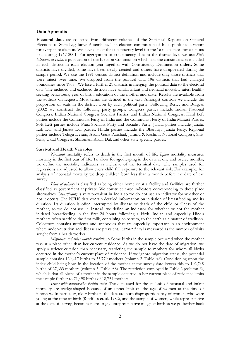### **Data Appendix**

**Electoral data** are collected from different volumes of the Statistical Reports on General Elections to State Legislative Assemblies. The election commission of India publishes a report for every state election. We have data at the constituency level for the 16 main states for elections held during 1967-2001. For aggregation of constituency data to the district level we use *State Elections in India,* a publication of the Election Commission which lists the constituencies included in each district in each election year together with Constituency Delimitation orders. Some districts have divided, some have been newly created and others have disappeared during the sample period. We use the 1991 census district definition and include only those districts that were intact over time. We dropped from the political data 196 districts that had changed boundaries since 1967. We lose a further 21 districts in merging the political data to the electoral data. The included and excluded districts have similar infant and neonatal mortality rates, healthseeking behaviours, year of birth, education of the mother and caste. Results are available from the authors on request. Most terms are defined in the text. Amongst controls we include the proportion of seats in the district won by each political party. Following Besley and Burgess (2002) we construct the following party groups. Congress parties include Indian National Congress, Indian National Congress Socialist Parties, and Indian National Congress. Hard Left parties include the Communist Party of India and the Communist Party of India Marxist Parties. Soft Left parties include Praja Socialist Party and Socialist Party. Janata parties include Janata, Lok Dal, and Janata Dal parties. Hindu parties include the Bharatiya Janata Party. Regional parties include Telegu Desam, Asom Gana Parishad, Jammu & Kashmir National Congress, Shiv Sena, Uktal Congress, Shiromani Alkali Dal, and other state specific parties.

### **Survival and Health Variables**

*Neonatal* mortality refers to death in the first month of life. *Infant* mortality measures mortality in the first year of life. To allow for age-heaping in the data at one and twelve months, we define the mortality indicators as inclusive of the terminal date. The samples used for regressions are adjusted to allow every child full exposure to the relevant risk. For example, for analysis of neonatal mortality we drop children born less than a month before the date of the survey.

*Place of delivery* is classified as being either home or at a facility and facilities are further classified as government *vs* private. We construct three indicators corresponding to these place alternatives. *Breastfeeding* is very prevalent in India so we do not use an indicator for whether or not it occurs. The NFHS data contain detailed information on initiation of breastfeeding and its duration. Its duration is often interrupted by disease or death of the child or illness of the mother, so we do not use it. Instead, we define an indicator for whether or not the mother initiated breastfeeding in the first 24 hours following a birth. Indian and especially Hindu mothers often sacrifice the first milk, containing colostrum, to the earth as a matter of tradition. Colostrum contains nutrients and antibodies that are especially important in an environment where under-nutrition and disease are prevalent. *Antenatal care* is measured as the number of visits sought from a health worker.

*Migration and other sample restrictions*- Some births in the sample occurred when the mother was at a place other than her current residence. As we do not have the date of migration, we apply a stricter criterion than necessary, restricting the sample to mothers for whom all births occurred in the mother's current place of residence. If we ignore migration status, the potential sample contains 129,417 births to 33,779 mothers (column 2, Table A8). Conditioning upon the index child being born in the location of the mother at the survey date lowers this to 102,748 births of 27,633 mothers (column 3, Table A8). The restriction employed in Table 2 (column 6), which is that all births of a mother in the sample occurred in her current place of residence limits the sample further to 71,498 births of 18,754 mothers.

*Issues with retrospective fertility data*: The data used for the analysis of neonatal and infant mortality are wedge-shaped because of an upper limit on the age of women at the time of interview. In particular, older births in the data are born disproportionately of women who were young at the time of birth (Rindfuss et. al. 1982), and the sample of women, while representative at the date of survey, becomes increasingly unrepresentative in age at birth as we go further back